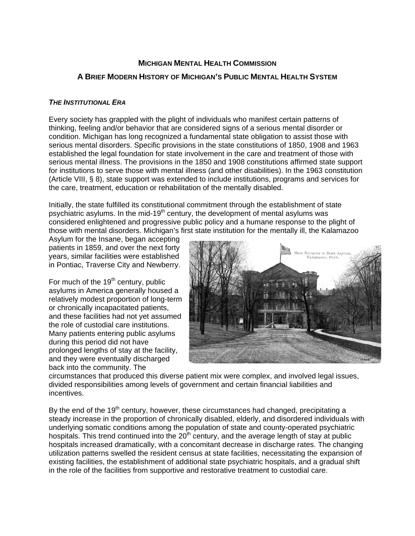# **MICHIGAN MENTAL HEALTH COMMISSION**

# **A BRIEF MODERN HISTORY OF MICHIGAN'S PUBLIC MENTAL HEALTH SYSTEM**

## *THE INSTITUTIONAL ERA*

Every society has grappled with the plight of individuals who manifest certain patterns of thinking, feeling and/or behavior that are considered signs of a serious mental disorder or condition. Michigan has long recognized a fundamental state obligation to assist those with serious mental disorders. Specific provisions in the state constitutions of 1850, 1908 and 1963 established the legal foundation for state involvement in the care and treatment of those with serious mental illness. The provisions in the 1850 and 1908 constitutions affirmed state support for institutions to serve those with mental illness (and other disabilities). In the 1963 constitution (Article VIII, § 8), state support was extended to include institutions, programs and services for the care, treatment, education or rehabilitation of the mentally disabled.

Initially, the state fulfilled its constitutional commitment through the establishment of state psychiatric asylums. In the mid-19<sup>th</sup> century, the development of mental asylums was considered enlightened and progressive public policy and a humane response to the plight of those with mental disorders. Michigan's first state institution for the mentally ill, the Kalamazoo

Asylum for the Insane, began accepting patients in 1859, and over the next forty years, similar facilities were established in Pontiac, Traverse City and Newberry.

For much of the  $19<sup>th</sup>$  century, public asylums in America generally housed a relatively modest proportion of long-term or chronically incapacitated patients, and these facilities had not yet assumed the role of custodial care institutions. Many patients entering public asylums during this period did not have prolonged lengths of stay at the facility, and they were eventually discharged back into the community. The



circumstances that produced this diverse patient mix were complex, and involved legal issues, divided responsibilities among levels of government and certain financial liabilities and incentives.

By the end of the  $19<sup>th</sup>$  century, however, these circumstances had changed, precipitating a steady increase in the proportion of chronically disabled, elderly, and disordered individuals with underlying somatic conditions among the population of state and county-operated psychiatric hospitals. This trend continued into the  $20<sup>th</sup>$  century, and the average length of stay at public hospitals increased dramatically, with a concomitant decrease in discharge rates. The changing utilization patterns swelled the resident census at state facilities, necessitating the expansion of existing facilities, the establishment of additional state psychiatric hospitals, and a gradual shift in the role of the facilities from supportive and restorative treatment to custodial care.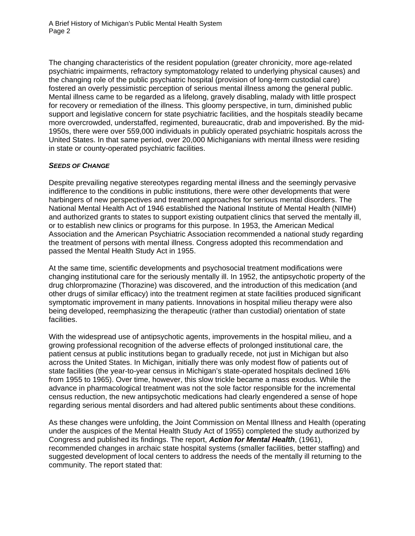The changing characteristics of the resident population (greater chronicity, more age-related psychiatric impairments, refractory symptomatology related to underlying physical causes) and the changing role of the public psychiatric hospital (provision of long-term custodial care) fostered an overly pessimistic perception of serious mental illness among the general public. Mental illness came to be regarded as a lifelong, gravely disabling, malady with little prospect for recovery or remediation of the illness. This gloomy perspective, in turn, diminished public support and legislative concern for state psychiatric facilities, and the hospitals steadily became more overcrowded, understaffed, regimented, bureaucratic, drab and impoverished. By the mid-1950s, there were over 559,000 individuals in publicly operated psychiatric hospitals across the United States. In that same period, over 20,000 Michiganians with mental illness were residing in state or county-operated psychiatric facilities.

#### *SEEDS OF CHANGE*

Despite prevailing negative stereotypes regarding mental illness and the seemingly pervasive indifference to the conditions in public institutions, there were other developments that were harbingers of new perspectives and treatment approaches for serious mental disorders. The National Mental Health Act of 1946 established the National Institute of Mental Health (NIMH) and authorized grants to states to support existing outpatient clinics that served the mentally ill, or to establish new clinics or programs for this purpose. In 1953, the American Medical Association and the American Psychiatric Association recommended a national study regarding the treatment of persons with mental illness. Congress adopted this recommendation and passed the Mental Health Study Act in 1955.

At the same time, scientific developments and psychosocial treatment modifications were changing institutional care for the seriously mentally ill. In 1952, the antipsychotic property of the drug chlorpromazine (Thorazine) was discovered, and the introduction of this medication (and other drugs of similar efficacy) into the treatment regimen at state facilities produced significant symptomatic improvement in many patients. Innovations in hospital milieu therapy were also being developed, reemphasizing the therapeutic (rather than custodial) orientation of state facilities.

With the widespread use of antipsychotic agents, improvements in the hospital milieu, and a growing professional recognition of the adverse effects of prolonged institutional care, the patient census at public institutions began to gradually recede, not just in Michigan but also across the United States. In Michigan, initially there was only modest flow of patients out of state facilities (the year-to-year census in Michigan's state-operated hospitals declined 16% from 1955 to 1965). Over time, however, this slow trickle became a mass exodus. While the advance in pharmacological treatment was not the sole factor responsible for the incremental census reduction, the new antipsychotic medications had clearly engendered a sense of hope regarding serious mental disorders and had altered public sentiments about these conditions.

As these changes were unfolding, the Joint Commission on Mental Illness and Health (operating under the auspices of the Mental Health Study Act of 1955) completed the study authorized by Congress and published its findings. The report, *Action for Mental Health*, (1961), recommended changes in archaic state hospital systems (smaller facilities, better staffing) and suggested development of local centers to address the needs of the mentally ill returning to the community. The report stated that: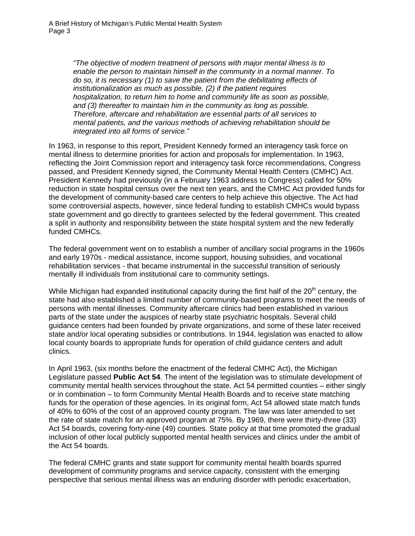*"The objective of modern treatment of persons with major mental illness is to enable the person to maintain himself in the community in a normal manner. To do so, it is necessary (1) to save the patient from the debilitating effects of institutionalization as much as possible, (2) if the patient requires hospitalization, to return him to home and community life as soon as possible, and (3) thereafter to maintain him in the community as long as possible. Therefore, aftercare and rehabilitation are essential parts of all services to mental patients, and the various methods of achieving rehabilitation should be integrated into all forms of service."* 

In 1963, in response to this report, President Kennedy formed an interagency task force on mental illness to determine priorities for action and proposals for implementation. In 1963, reflecting the Joint Commission report and interagency task force recommendations, Congress passed, and President Kennedy signed, the Community Mental Health Centers (CMHC) Act. President Kennedy had previously (in a February 1963 address to Congress) called for 50% reduction in state hospital census over the next ten years, and the CMHC Act provided funds for the development of community-based care centers to help achieve this objective. The Act had some controversial aspects, however, since federal funding to establish CMHCs would bypass state government and go directly to grantees selected by the federal government. This created a split in authority and responsibility between the state hospital system and the new federally funded CMHCs.

The federal government went on to establish a number of ancillary social programs in the 1960s and early 1970s - medical assistance, income support, housing subsidies, and vocational rehabilitation services - that became instrumental in the successful transition of seriously mentally ill individuals from institutional care to community settings.

While Michigan had expanded institutional capacity during the first half of the  $20<sup>th</sup>$  century, the state had also established a limited number of community-based programs to meet the needs of persons with mental illnesses. Community aftercare clinics had been established in various parts of the state under the auspices of nearby state psychiatric hospitals. Several child guidance centers had been founded by private organizations, and some of these later received state and/or local operating subsidies or contributions. In 1944, legislation was enacted to allow local county boards to appropriate funds for operation of child guidance centers and adult clinics.

In April 1963, (six months before the enactment of the federal CMHC Act), the Michigan Legislature passed **Public Act 54**. The intent of the legislation was to stimulate development of community mental health services throughout the state. Act 54 permitted counties – either singly or in combination – to form Community Mental Health Boards and to receive state matching funds for the operation of these agencies. In its original form, Act 54 allowed state match funds of 40% to 60% of the cost of an approved county program. The law was later amended to set the rate of state match for an approved program at 75%. By 1969, there were thirty-three (33) Act 54 boards, covering forty-nine (49) counties. State policy at that time promoted the gradual inclusion of other local publicly supported mental health services and clinics under the ambit of the Act 54 boards.

The federal CMHC grants and state support for community mental health boards spurred development of community programs and service capacity, consistent with the emerging perspective that serious mental illness was an enduring disorder with periodic exacerbation,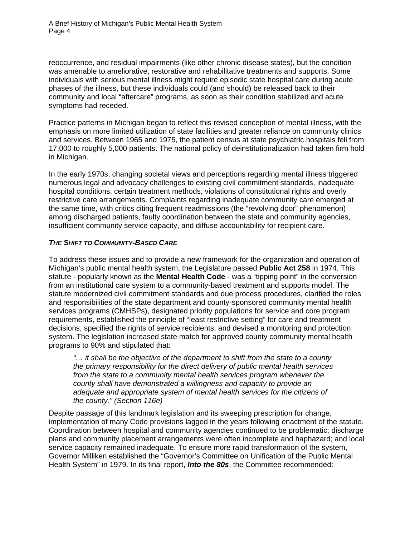reoccurrence, and residual impairments (like other chronic disease states), but the condition was amenable to ameliorative, restorative and rehabilitative treatments and supports. Some individuals with serious mental illness might require episodic state hospital care during acute phases of the illness, but these individuals could (and should) be released back to their community and local "aftercare" programs, as soon as their condition stabilized and acute symptoms had receded.

Practice patterns in Michigan began to reflect this revised conception of mental illness, with the emphasis on more limited utilization of state facilities and greater reliance on community clinics and services. Between 1965 and 1975, the patient census at state psychiatric hospitals fell from 17,000 to roughly 5,000 patients. The national policy of deinstitutionalization had taken firm hold in Michigan.

In the early 1970s, changing societal views and perceptions regarding mental illness triggered numerous legal and advocacy challenges to existing civil commitment standards, inadequate hospital conditions, certain treatment methods, violations of constitutional rights and overly restrictive care arrangements. Complaints regarding inadequate community care emerged at the same time, with critics citing frequent readmissions (the "revolving door" phenomenon) among discharged patients, faulty coordination between the state and community agencies, insufficient community service capacity, and diffuse accountability for recipient care.

## *THE SHIFT TO COMMUNITY-BASED CARE*

To address these issues and to provide a new framework for the organization and operation of Michigan's public mental health system, the Legislature passed **Public Act 258** in 1974. This statute - popularly known as the **Mental Health Code** - was a "tipping point" in the conversion from an institutional care system to a community-based treatment and supports model. The statute modernized civil commitment standards and due process procedures, clarified the roles and responsibilities of the state department and county-sponsored community mental health services programs (CMHSPs), designated priority populations for service and core program requirements, established the principle of "least restrictive setting" for care and treatment decisions, specified the rights of service recipients, and devised a monitoring and protection system. The legislation increased state match for approved county community mental health programs to 90% and stipulated that:

*"… it shall be the objective of the department to shift from the state to a county the primary responsibility for the direct delivery of public mental health services from the state to a community mental health services program whenever the county shall have demonstrated a willingness and capacity to provide an adequate and appropriate system of mental health services for the citizens of the county." (Section 116e)* 

Despite passage of this landmark legislation and its sweeping prescription for change, implementation of many Code provisions lagged in the years following enactment of the statute. Coordination between hospital and community agencies continued to be problematic; discharge plans and community placement arrangements were often incomplete and haphazard; and local service capacity remained inadequate. To ensure more rapid transformation of the system, Governor Milliken established the "Governor's Committee on Unification of the Public Mental Health System" in 1979. In its final report, *Into the 80s*, the Committee recommended: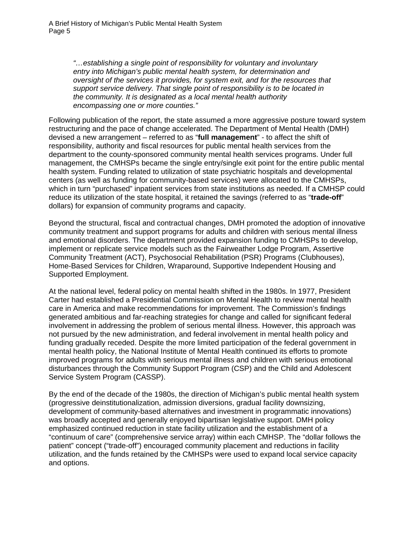*"…establishing a single point of responsibility for voluntary and involuntary entry into Michigan's public mental health system, for determination and oversight of the services it provides, for system exit, and for the resources that support service delivery. That single point of responsibility is to be located in the community. It is designated as a local mental health authority encompassing one or more counties."* 

Following publication of the report, the state assumed a more aggressive posture toward system restructuring and the pace of change accelerated. The Department of Mental Health (DMH) devised a new arrangement – referred to as "**full management**" - to affect the shift of responsibility, authority and fiscal resources for public mental health services from the department to the county-sponsored community mental health services programs. Under full management, the CMHSPs became the single entry/single exit point for the entire public mental health system. Funding related to utilization of state psychiatric hospitals and developmental centers (as well as funding for community-based services) were allocated to the CMHSPs, which in turn "purchased" inpatient services from state institutions as needed. If a CMHSP could reduce its utilization of the state hospital, it retained the savings (referred to as "**trade-off**" dollars) for expansion of community programs and capacity.

Beyond the structural, fiscal and contractual changes, DMH promoted the adoption of innovative community treatment and support programs for adults and children with serious mental illness and emotional disorders. The department provided expansion funding to CMHSPs to develop, implement or replicate service models such as the Fairweather Lodge Program, Assertive Community Treatment (ACT), Psychosocial Rehabilitation (PSR) Programs (Clubhouses), Home-Based Services for Children, Wraparound, Supportive Independent Housing and Supported Employment.

At the national level, federal policy on mental health shifted in the 1980s. In 1977, President Carter had established a Presidential Commission on Mental Health to review mental health care in America and make recommendations for improvement. The Commission's findings generated ambitious and far-reaching strategies for change and called for significant federal involvement in addressing the problem of serious mental illness. However, this approach was not pursued by the new administration, and federal involvement in mental health policy and funding gradually receded. Despite the more limited participation of the federal government in mental health policy, the National Institute of Mental Health continued its efforts to promote improved programs for adults with serious mental illness and children with serious emotional disturbances through the Community Support Program (CSP) and the Child and Adolescent Service System Program (CASSP).

By the end of the decade of the 1980s, the direction of Michigan's public mental health system (progressive deinstitutionalization, admission diversions, gradual facility downsizing, development of community-based alternatives and investment in programmatic innovations) was broadly accepted and generally enjoyed bipartisan legislative support. DMH policy emphasized continued reduction in state facility utilization and the establishment of a "continuum of care" (comprehensive service array) within each CMHSP. The "dollar follows the patient" concept ("trade-off") encouraged community placement and reductions in facility utilization, and the funds retained by the CMHSPs were used to expand local service capacity and options.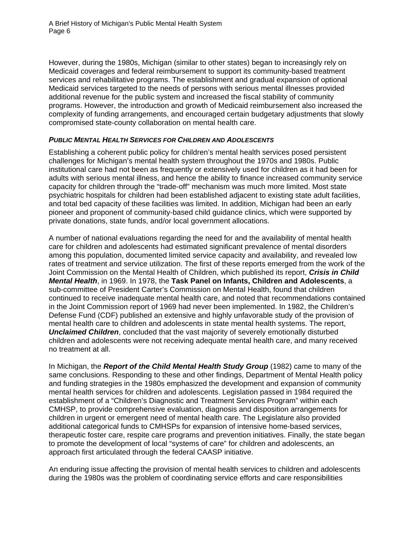However, during the 1980s, Michigan (similar to other states) began to increasingly rely on Medicaid coverages and federal reimbursement to support its community-based treatment services and rehabilitative programs. The establishment and gradual expansion of optional Medicaid services targeted to the needs of persons with serious mental illnesses provided additional revenue for the public system and increased the fiscal stability of community programs. However, the introduction and growth of Medicaid reimbursement also increased the complexity of funding arrangements, and encouraged certain budgetary adjustments that slowly compromised state-county collaboration on mental health care.

#### *PUBLIC MENTAL HEALTH SERVICES FOR CHILDREN AND ADOLESCENTS*

Establishing a coherent public policy for children's mental health services posed persistent challenges for Michigan's mental health system throughout the 1970s and 1980s. Public institutional care had not been as frequently or extensively used for children as it had been for adults with serious mental illness, and hence the ability to finance increased community service capacity for children through the "trade-off" mechanism was much more limited. Most state psychiatric hospitals for children had been established adjacent to existing state adult facilities, and total bed capacity of these facilities was limited. In addition, Michigan had been an early pioneer and proponent of community-based child guidance clinics, which were supported by private donations, state funds, and/or local government allocations.

A number of national evaluations regarding the need for and the availability of mental health care for children and adolescents had estimated significant prevalence of mental disorders among this population, documented limited service capacity and availability, and revealed low rates of treatment and service utilization. The first of these reports emerged from the work of the Joint Commission on the Mental Health of Children, which published its report, *Crisis in Child Mental Health*, in 1969. In 1978, the **Task Panel on Infants, Children and Adolescents**, a sub-committee of President Carter's Commission on Mental Health, found that children continued to receive inadequate mental health care, and noted that recommendations contained in the Joint Commission report of 1969 had never been implemented. In 1982, the Children's Defense Fund (CDF) published an extensive and highly unfavorable study of the provision of mental health care to children and adolescents in state mental health systems. The report, *Unclaimed Children*, concluded that the vast majority of severely emotionally disturbed children and adolescents were not receiving adequate mental health care, and many received no treatment at all.

In Michigan, the *Report of the Child Mental Health Study Group* (1982) came to many of the same conclusions. Responding to these and other findings, Department of Mental Health policy and funding strategies in the 1980s emphasized the development and expansion of community mental health services for children and adolescents. Legislation passed in 1984 required the establishment of a "Children's Diagnostic and Treatment Services Program" within each CMHSP, to provide comprehensive evaluation, diagnosis and disposition arrangements for children in urgent or emergent need of mental health care. The Legislature also provided additional categorical funds to CMHSPs for expansion of intensive home-based services, therapeutic foster care, respite care programs and prevention initiatives. Finally, the state began to promote the development of local "systems of care" for children and adolescents, an approach first articulated through the federal CAASP initiative.

An enduring issue affecting the provision of mental health services to children and adolescents during the 1980s was the problem of coordinating service efforts and care responsibilities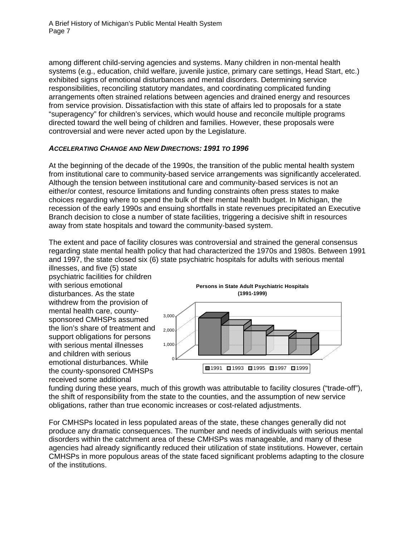among different child-serving agencies and systems. Many children in non-mental health systems (e.g., education, child welfare, juvenile justice, primary care settings, Head Start, etc.) exhibited signs of emotional disturbances and mental disorders. Determining service responsibilities, reconciling statutory mandates, and coordinating complicated funding arrangements often strained relations between agencies and drained energy and resources from service provision. Dissatisfaction with this state of affairs led to proposals for a state "superagency" for children's services, which would house and reconcile multiple programs directed toward the well being of children and families. However, these proposals were controversial and were never acted upon by the Legislature.

#### *ACCELERATING CHANGE AND NEW DIRECTIONS: 1991 TO 1996*

At the beginning of the decade of the 1990s, the transition of the public mental health system from institutional care to community-based service arrangements was significantly accelerated. Although the tension between institutional care and community-based services is not an either/or contest, resource limitations and funding constraints often press states to make choices regarding where to spend the bulk of their mental health budget. In Michigan, the recession of the early 1990s and ensuing shortfalls in state revenues precipitated an Executive Branch decision to close a number of state facilities, triggering a decisive shift in resources away from state hospitals and toward the community-based system.

The extent and pace of facility closures was controversial and strained the general consensus regarding state mental health policy that had characterized the 1970s and 1980s. Between 1991 and 1997, the state closed six (6) state psychiatric hospitals for adults with serious mental

illnesses, and five (5) state psychiatric facilities for children with serious emotional disturbances. As the state withdrew from the provision of mental health care, countysponsored CMHSPs assumed the lion's share of treatment and support obligations for persons with serious mental illnesses and children with serious emotional disturbances. While the county-sponsored CMHSPs received some additional



funding during these years, much of this growth was attributable to facility closures ("trade-off"), the shift of responsibility from the state to the counties, and the assumption of new service obligations, rather than true economic increases or cost-related adjustments.

For CMHSPs located in less populated areas of the state, these changes generally did not produce any dramatic consequences. The number and needs of individuals with serious mental disorders within the catchment area of these CMHSPs was manageable, and many of these agencies had already significantly reduced their utilization of state institutions. However, certain CMHSPs in more populous areas of the state faced significant problems adapting to the closure of the institutions.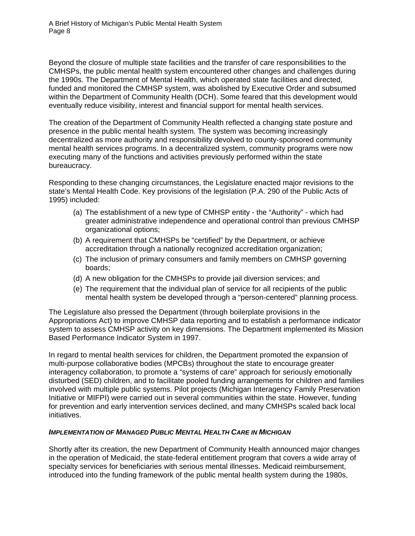Beyond the closure of multiple state facilities and the transfer of care responsibilities to the CMHSPs, the public mental health system encountered other changes and challenges during the 1990s. The Department of Mental Health, which operated state facilities and directed, funded and monitored the CMHSP system, was abolished by Executive Order and subsumed within the Department of Community Health (DCH). Some feared that this development would eventually reduce visibility, interest and financial support for mental health services.

The creation of the Department of Community Health reflected a changing state posture and presence in the public mental health system. The system was becoming increasingly decentralized as more authority and responsibility devolved to county-sponsored community mental health services programs. In a decentralized system, community programs were now executing many of the functions and activities previously performed within the state bureaucracy.

Responding to these changing circumstances, the Legislature enacted major revisions to the state's Mental Health Code. Key provisions of the legislation (P.A. 290 of the Public Acts of 1995) included:

- (a) The establishment of a new type of CMHSP entity the "Authority" which had greater administrative independence and operational control than previous CMHSP organizational options;
- (b) A requirement that CMHSPs be "certified" by the Department, or achieve accreditation through a nationally recognized accreditation organization;
- (c) The inclusion of primary consumers and family members on CMHSP governing boards;
- (d) A new obligation for the CMHSPs to provide jail diversion services; and
- (e) The requirement that the individual plan of service for all recipients of the public mental health system be developed through a "person-centered" planning process.

The Legislature also pressed the Department (through boilerplate provisions in the Appropriations Act) to improve CMHSP data reporting and to establish a performance indicator system to assess CMHSP activity on key dimensions. The Department implemented its Mission Based Performance Indicator System in 1997.

In regard to mental health services for children, the Department promoted the expansion of multi-purpose collaborative bodies (MPCBs) throughout the state to encourage greater interagency collaboration, to promote a "systems of care" approach for seriously emotionally disturbed (SED) children, and to facilitate pooled funding arrangements for children and families involved with multiple public systems. Pilot projects (Michigan Interagency Family Preservation Initiative or MIFPI) were carried out in several communities within the state. However, funding for prevention and early intervention services declined, and many CMHSPs scaled back local initiatives.

### *IMPLEMENTATION OF MANAGED PUBLIC MENTAL HEALTH CARE IN MICHIGAN*

Shortly after its creation, the new Department of Community Health announced major changes in the operation of Medicaid, the state-federal entitlement program that covers a wide array of specialty services for beneficiaries with serious mental illnesses. Medicaid reimbursement, introduced into the funding framework of the public mental health system during the 1980s,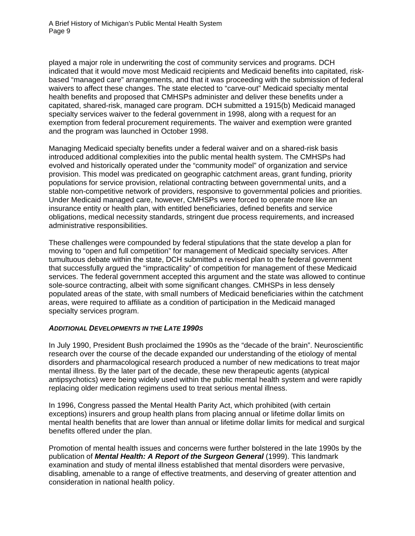played a major role in underwriting the cost of community services and programs. DCH indicated that it would move most Medicaid recipients and Medicaid benefits into capitated, riskbased "managed care" arrangements, and that it was proceeding with the submission of federal waivers to affect these changes. The state elected to "carve-out" Medicaid specialty mental health benefits and proposed that CMHSPs administer and deliver these benefits under a capitated, shared-risk, managed care program. DCH submitted a 1915(b) Medicaid managed specialty services waiver to the federal government in 1998, along with a request for an exemption from federal procurement requirements. The waiver and exemption were granted and the program was launched in October 1998.

Managing Medicaid specialty benefits under a federal waiver and on a shared-risk basis introduced additional complexities into the public mental health system. The CMHSPs had evolved and historically operated under the "community model" of organization and service provision. This model was predicated on geographic catchment areas, grant funding, priority populations for service provision, relational contracting between governmental units, and a stable non-competitive network of providers, responsive to governmental policies and priorities. Under Medicaid managed care, however, CMHSPs were forced to operate more like an insurance entity or health plan, with entitled beneficiaries, defined benefits and service obligations, medical necessity standards, stringent due process requirements, and increased administrative responsibilities.

These challenges were compounded by federal stipulations that the state develop a plan for moving to "open and full competition" for management of Medicaid specialty services. After tumultuous debate within the state, DCH submitted a revised plan to the federal government that successfully argued the "impracticality" of competition for management of these Medicaid services. The federal government accepted this argument and the state was allowed to continue sole-source contracting, albeit with some significant changes. CMHSPs in less densely populated areas of the state, with small numbers of Medicaid beneficiaries within the catchment areas, were required to affiliate as a condition of participation in the Medicaid managed specialty services program.

#### *ADDITIONAL DEVELOPMENTS IN THE LATE 1990S*

In July 1990, President Bush proclaimed the 1990s as the "decade of the brain". Neuroscientific research over the course of the decade expanded our understanding of the etiology of mental disorders and pharmacological research produced a number of new medications to treat major mental illness. By the later part of the decade, these new therapeutic agents (atypical antipsychotics) were being widely used within the public mental health system and were rapidly replacing older medication regimens used to treat serious mental illness.

In 1996, Congress passed the Mental Health Parity Act, which prohibited (with certain exceptions) insurers and [group health plans](http://www.cms.hhs.gov/hipaa/hipaa1/phig_Includes/011.asp) from placing annual or lifetime dollar limits on mental health benefits that are lower than annual or lifetime dollar limits for medical and surgical benefits offered under the plan.

Promotion of mental health issues and concerns were further bolstered in the late 1990s by the publication of *Mental Health: A Report of the Surgeon General* (1999). This landmark examination and study of mental illness established that mental disorders were pervasive, disabling, amenable to a range of effective treatments, and deserving of greater attention and consideration in national health policy.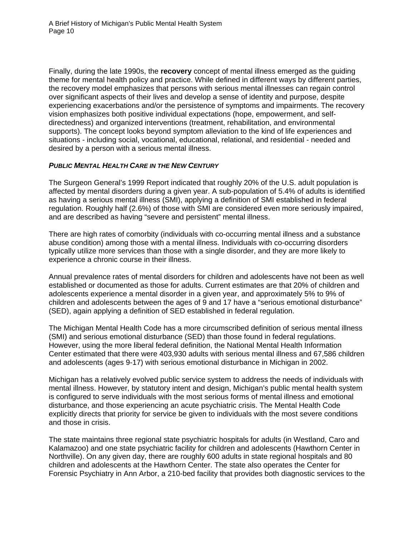Finally, during the late 1990s, the **recovery** concept of mental illness emerged as the guiding theme for mental health policy and practice. While defined in different ways by different parties, the recovery model emphasizes that persons with serious mental illnesses can regain control over significant aspects of their lives and develop a sense of identity and purpose, despite experiencing exacerbations and/or the persistence of symptoms and impairments. The recovery vision emphasizes both positive individual expectations (hope, empowerment, and selfdirectedness) and organized interventions (treatment, rehabilitation, and environmental supports). The concept looks beyond symptom alleviation to the kind of life experiences and situations - including social, vocational, educational, relational, and residential - needed and desired by a person with a serious mental illness.

#### *PUBLIC MENTAL HEALTH CARE IN THE NEW CENTURY*

The Surgeon General's 1999 Report indicated that roughly 20% of the U.S. adult population is affected by mental disorders during a given year. A sub-population of 5.4% of adults is identified as having a serious mental illness (SMI), applying a definition of SMI established in federal regulation. Roughly half (2.6%) of those with SMI are considered even more seriously impaired, and are described as having "severe and persistent" mental illness.

There are high rates of comorbity (individuals with co-occurring mental illness and a substance abuse condition) among those with a mental illness. Individuals with co-occurring disorders typically utilize more services than those with a single disorder, and they are more likely to experience a chronic course in their illness.

Annual prevalence rates of mental disorders for children and adolescents have not been as well established or documented as those for adults. Current estimates are that 20% of children and adolescents experience a mental disorder in a given year, and approximately 5% to 9% of children and adolescents between the ages of 9 and 17 have a "serious emotional disturbance" (SED), again applying a definition of SED established in federal regulation.

The Michigan Mental Health Code has a more circumscribed definition of serious mental illness (SMI) and serious emotional disturbance (SED) than those found in federal regulations. However, using the more liberal federal definition, the National Mental Health Information Center estimated that there were 403,930 adults with serious mental illness and 67,586 children and adolescents (ages 9-17) with serious emotional disturbance in Michigan in 2002.

Michigan has a relatively evolved public service system to address the needs of individuals with mental illness. However, by statutory intent and design, Michigan's public mental health system is configured to serve individuals with the most serious forms of mental illness and emotional disturbance, and those experiencing an acute psychiatric crisis. The Mental Health Code explicitly directs that priority for service be given to individuals with the most severe conditions and those in crisis.

The state maintains three regional state psychiatric hospitals for adults (in Westland, Caro and Kalamazoo) and one state psychiatric facility for children and adolescents (Hawthorn Center in Northville). On any given day, there are roughly 600 adults in state regional hospitals and 80 children and adolescents at the Hawthorn Center. The state also operates the Center for Forensic Psychiatry in Ann Arbor, a 210-bed facility that provides both diagnostic services to the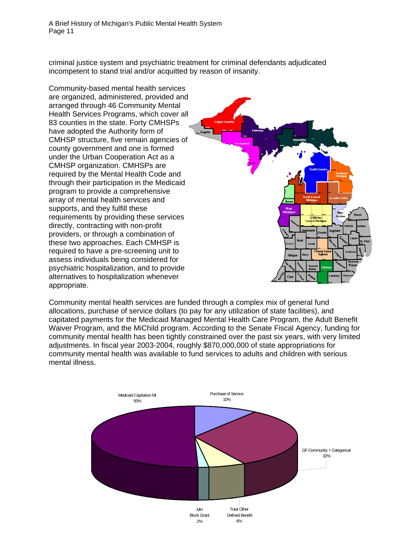criminal justice system and psychiatric treatment for criminal defendants adjudicated incompetent to stand trial and/or acquitted by reason of insanity.

Community-based mental health services are organized, administered, provided a nd arranged through 46 Community Ment al Health Services Programs, which cover al l 83 counties in the state. Forty CMHSPs have adopted the Authority form of CMHSP structure, five remain agencies of county government and one is formed under the Urban Cooperation Act as a CMHSP organization. CMHSPs are required by the Mental Health Code and through their participation in the Medicaid program to provide a comprehensive array of mental health services and supports, and they fulfill these requirements by providing these services directly, contracting with non-profit providers, or through a combination of these two approaches. Each CMHSP is required to have a pre-screening unit to assess individuals being considered for psychiatric hospitalization, and to provide alternatives to hospitalization whenever appropriate.



Community mental health services are funded through a complex mix of general fund allocations, purchase of service dollars (to pay for any utilization of state facilities), and capitated payments for the Medicaid Managed Mental Health Care Program, the Adult Benefit Waiver Program, and the MiChild program. According to the Senate Fiscal Agency, funding for community mental health has been tightly constrained over the past six years, with very limited adjustments. In fiscal year 2003-2004, roughly \$870,000,000 of state appropriations for community mental health was available to fund services to adults and children with serious mental illness.

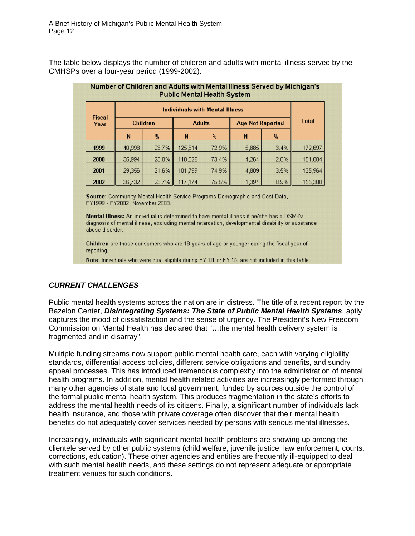The table below displays the number of children and adults with mental illness served by the CMHSPs over a four-year period (1999-2002).

| Number of Children and Adults with Mental lilness Served by Michigan s<br><b>Public Mental Health System</b> |        |                                        |         |               |       |                         |         |
|--------------------------------------------------------------------------------------------------------------|--------|----------------------------------------|---------|---------------|-------|-------------------------|---------|
| <b>Fiscal</b><br>Year                                                                                        |        | <b>Individuals with Mental Illness</b> |         |               |       |                         |         |
|                                                                                                              |        | <b>Children</b>                        |         | <b>Adults</b> |       | <b>Age Not Reported</b> |         |
|                                                                                                              | N      | %                                      | N       | %             | N     | 陥                       |         |
| 1999                                                                                                         | 40,998 | 23.7%                                  | 125,814 | 72.9%         | 5,885 | 3.4%                    | 172,697 |
| 2000                                                                                                         | 35,994 | 23.8%                                  | 110,826 | 73.4%         | 4,264 | 2.8%                    | 151,084 |
| 2001                                                                                                         | 29,356 | 21.6%                                  | 101,799 | 74.9%         | 4,809 | 3.5%                    | 135,964 |
| 2002                                                                                                         | 36,732 | 23.7%                                  | 117,174 | 75.5%         | 1,394 | 0.9%                    | 155,300 |

Source: Community Mental Health Service Programs Demographic and Cost Data, FY1999 - FY2002, November 2003.

Mental Illness: An individual is determined to have mental illness if he/she has a DSM-IV diagnosis of mental illness, excluding mental retardation, developmental disability or substance abuse disorder.

Children are those consumers who are 18 years of age or younger during the fiscal year of reporting.

Note: Individuals who were dual eligible during FY 01 or FY 02 are not included in this table.

### *CURRENT CHALLENGES*

Public mental health systems across the nation are in distress. The title of a recent report by the Bazelon Center, *Disintegrating Systems: The State of Public Mental Health Systems*, aptly captures the mood of dissatisfaction and the sense of urgency. The President's New Freedom Commission on Mental Health has declared that "…the mental health delivery system is fragmented and in disarray".

Multiple funding streams now support public mental health care, each with varying eligibility standards, differential access policies, different service obligations and benefits, and sundry appeal processes. This has introduced tremendous complexity into the administration of mental health programs. In addition, mental health related activities are increasingly performed through many other agencies of state and local government, funded by sources outside the control of the formal public mental health system. This produces fragmentation in the state's efforts to address the mental health needs of its citizens. Finally, a significant number of individuals lack health insurance, and those with private coverage often discover that their mental health benefits do not adequately cover services needed by persons with serious mental illnesses.

Increasingly, individuals with significant mental health problems are showing up among the clientele served by other public systems (child welfare, juvenile justice, law enforcement, courts, corrections, education). These other agencies and entities are frequently ill-equipped to deal with such mental health needs, and these settings do not represent adequate or appropriate treatment venues for such conditions.